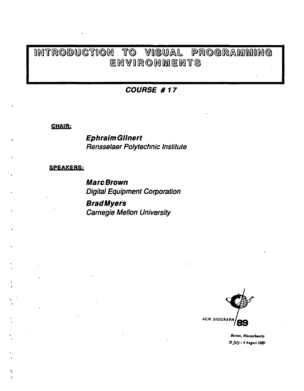## INTRODUCTION TO VISUAL PROGRAMMING ENVIRONMENTS

### COURSE #17

#### **CHAIR:**

**Ephraim Glinert** Rensselaer Polytechnic Institute

#### **SPEAKERS:**

 $\overline{\phantom{a}}$ 

**Marc Brown Digital Equipment Corporation** 

**BradMyers Carnegie Mellon University** 



Boston, Massachusetts 31 July - 4 August 1989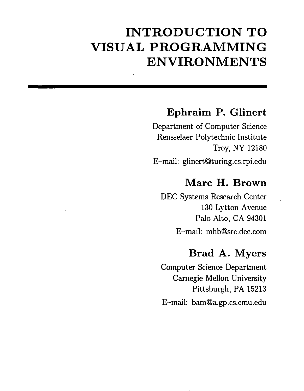# **INTRODUCTION TO VISUAL PROGRAMMING ENVIRONMENTS**

## **Ephraim P. Glinert**

Department of Computer Science Rensselaer Polytechnic Institute Troy, NY 12180 E-mail: glinert@turing.cs.rpi.edu

### **Marc H. Brown**

DEC Systems Research Center 130 Lytton Avenue Palo Alto, CA 94301 E-mail: mhb@src.dec.com

## **Brad A. Myers**

Computer Science Department Carnegie Mellon University Pittsburgh, PA 15213 E-mail: bam@a.gp.cs.cmu.edu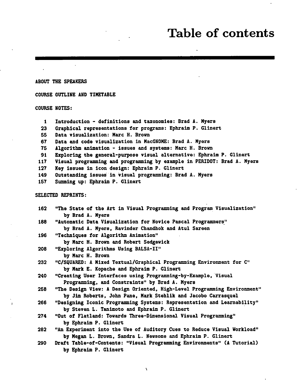## **Table of contents**

ABOUT THE SPEAKERS

COURSE OUTLIHE AND TIMETABLE

COURSE NOTES:

- 1 Introduction definitions and taxonomies: Brad A. Myers
- 23 Graphical representations for programs: Ephraim P. Glinert
- 55 Data visualization: Mare H. Brovn
- 67 Data and eoda visualization in MaeGNOME: Brad A. Myers
- 75 Algorithm animation issues and systems: Mare H. Brovn
- 91 Exploring the general-purpose visual alternative: Ephraim P. Glinert
- 117 Visual programming and programming by ezample in PERIDOT: Brad A. Myers
- 127 Key issues in ieon design: Ephraim P. Glinert

149 Outstanding issues in Visual programming: Brad A. Myers

157 Summing up: Ephraim P. Glinert

#### SELECTED REPRINTS:

| 162 | "The State of the Art in Visual Programming and Program Visualization"<br>by Brad A. Myers                                                |
|-----|-------------------------------------------------------------------------------------------------------------------------------------------|
| 188 | "Automatic Data Visualization for Novice Pascal Programmers"<br>by Brad A. Myers, Ravinder Chandhok and Atul Sareen                       |
| 196 | "Techniques for Algorithm Animation"<br>by Marc H. Brown and Robert Sedgewick                                                             |
| 208 | "Exploring Algorithms Using BALSA-II"<br>by Marc H. Brown                                                                                 |
| 232 | "C/SQUARED: A Mixed Textual/Graphical Programming Environment for C"<br>by Mark E. Kopache and Ephraim P. Glinert                         |
| 240 | "Creating User Interfaces using Programming-by-Example, Visual<br>Programming, and Constraints" by Brad A. Myers                          |
| 258 | "The Design View: A Design Oriented, High-Level Programming Environment"<br>by Jim Roberts, John Pane, Mark Stehlik and Jacobo Carrasquel |
| 266 | "Designing Iconic Programming Systems: Representation and Learnability"<br>by Steven L. Tanimoto and Ephraim P. Glinert                   |
| 274 | "Out of Flatland: Towards Three-Dimensional Visual Programming"<br>by Ephraim P. Glinert                                                  |
| 282 | "An Experiment into the Use of Auditory Cues to Reduce Visual Workload"<br>by Megan L. Brown, Sandra L. Newsome and Ephraim P. Glinert    |
| 290 | Draft Table-of-Contents: "Visual Programming Environments" (A Tutorial)<br>by Ephraim P. Glinert                                          |

 $\lambda$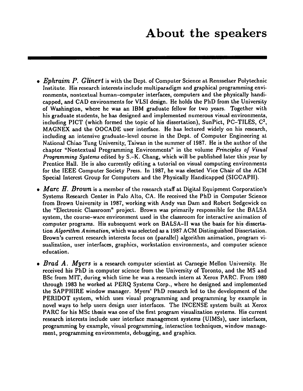- *Ephraim P. Glinert* is with the Dept. of Computer Science at Rensselaer Polytechnic Institute. His research interests include multiparadigm and graphical programming environments, nontextual human-computer interfaces, computers and the physically handicapped, and CAD environments for VLSI design. He holds the PhD from the University of Washington, where he was an IBM graduate fellow for two years. Together with his graduate students, he has designed and implemented numerous visual environments, including PICT (which formed the topic of his dissertation), SunPict, PC-TILES,  $C^2$ , MAGNEX and the OOCADE user interface. He has lectured widely on his research, including an intensive graduate-level course in the Dept. of Computer Engineering at National Chiao Tung University, Taiwan in the summer of 1987. He is the author of the chapter "Nontextual Programming Environments" in the volume *Principles of Visual Progrnmming Systems* edited by S.-K. Chang, which will be published later this year by Prentice Hall. He is also currently editing a tutorial on visual computing environments for the IEEE Computer Society Press. In 1987, he was elected Vice Chair of the ACM Special Interest Group for Computers and the Physically Handicapped (SIGCAPH).
- *Marc H. Brown* is a member of the research staff at Digital Equipment Corporation's Systems Research Center in Palo Alto, CA. He received the PhD in Computer Science from Brown University in 1987, working with Andy van Dam and Robert Sedgewick on the "Electronic Classroom" project. Brown was primarily responsible for the BALSA system, the course-ware environment used in the classroom for interactive animation of computer programs. His subsequent work on BALSA-II was the basis for his dissertation *Algorithm Animation,* which was selected as a 1987 ACM Distinguished Dissertation. Brown's current research interests focus on (parallel) algorithm animation, program visualization, user interfaces, graphics, workstation environments, and computer science education.
- *Brad A. Myers* is a research computer scientist at Carnegie Mellon University. He received his PhD in computer science from the University of Toronto, and the MS and BSc from MIT, during which time he was a research intern at Xerox PARC. From 1980 through 1983 he worked at PERQ Systems Corp., where he designed and implemented the SAPPHIRE window manager. Myers' PhD research led to the development of the PERIDOT system, which uses visual programming and programming by example in novel ways to help users design user interfaces. The INCENSE system built at Xerox PARC for his MSc thesis was one of the first program visualization systems. His current research interests include user interface management systems (UIMSs), user interfaces, programming by example, visual programming, interaction techniques, window management, programming environments, debugging, and graphics.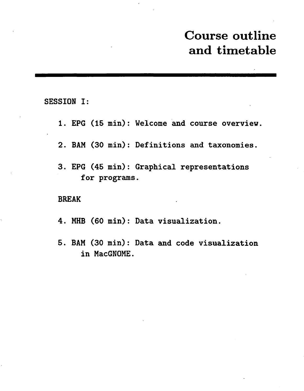# Course outline and timetable

SESSION I:

- 1. EPG (15 min): Welcome and course overview.
- 2. BAM (30 min): Definitions and taxonomies.
- 3. EPG (45 min): Graphical representations for programs.

#### BREAK

- 4. MHB (60 min): Data visualization.
- 5. BAM (30 min): Data and code visualization in MacGNOME.